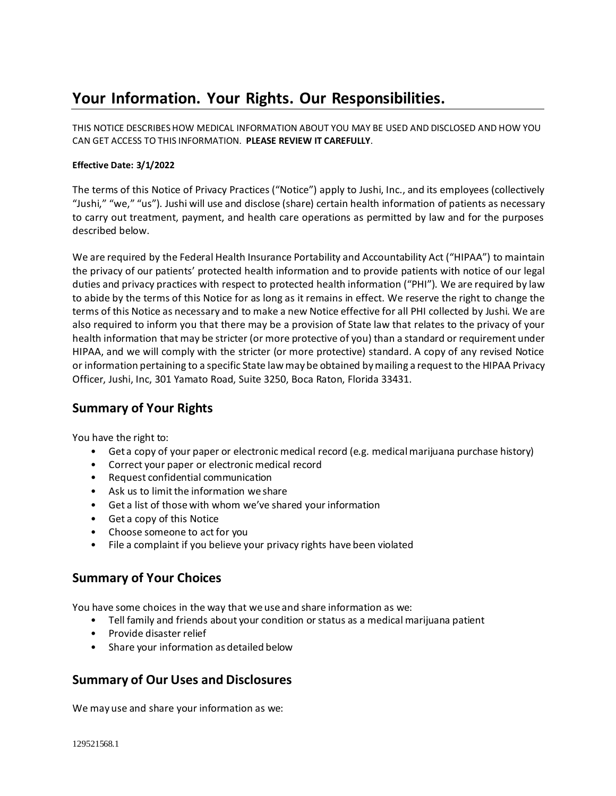# **Your Information. Your Rights. Our Responsibilities.**

THIS NOTICE DESCRIBESHOW MEDICAL INFORMATION ABOUT YOU MAY BE USED AND DISCLOSED AND HOW YOU CAN GET ACCESS TO THIS INFORMATION. **PLEASE REVIEW IT CAREFULLY**.

### **Effective Date: 3/1/2022**

The terms of this Notice of Privacy Practices ("Notice") apply to Jushi, Inc., and its employees (collectively "Jushi," "we," "us"). Jushi will use and disclose (share) certain health information of patients as necessary to carry out treatment, payment, and health care operations as permitted by law and for the purposes described below.

We are required by the Federal Health Insurance Portability and Accountability Act ("HIPAA") to maintain the privacy of our patients' protected health information and to provide patients with notice of our legal duties and privacy practices with respect to protected health information ("PHI"). We are required by law to abide by the terms of this Notice for as long as it remains in effect. We reserve the right to change the terms of this Notice as necessary and to make a new Notice effective for all PHI collected by Jushi. We are also required to inform you that there may be a provision of State law that relates to the privacy of your health information that may be stricter (or more protective of you) than a standard or requirement under HIPAA, and we will comply with the stricter (or more protective) standard. A copy of any revised Notice or information pertaining to a specific State lawmay be obtained bymailing a request to the HIPAA Privacy Officer, Jushi, Inc, 301 Yamato Road, Suite 3250, Boca Raton, Florida 33431.

# **Summary of Your Rights**

You have the right to:

- Get a copy of your paper or electronic medical record (e.g. medical marijuana purchase history)
- Correct your paper or electronic medical record
- Request confidential communication
- Ask us to limit the information we share
- Get a list of those with whom we've shared your information
- Get a copy of this Notice
- Choose someone to act for you
- File a complaint if you believe your privacy rights have been violated

# **Summary of Your Choices**

You have some choices in the way that we use and share information as we:

- Tell family and friends about your condition or status as a medical marijuana patient
- Provide disaster relief
- Share your information as detailed below

# **Summary of Our Uses and Disclosures**

We may use and share your information as we: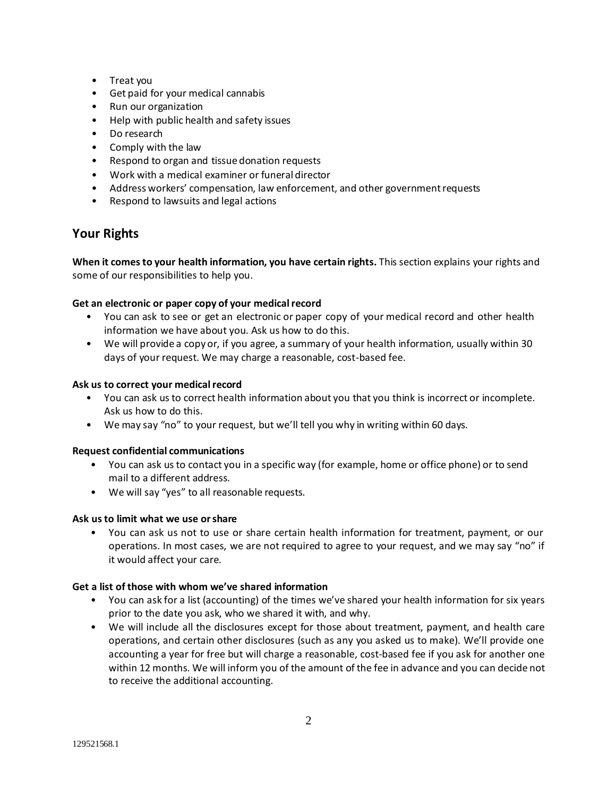- Treat you
- Get paid for your medical cannabis
- Run our organization
- Help with public health and safety issues
- Do research
- Comply with the law
- Respond to organ and tissue donation requests
- Work with a medical examiner or funeral director
- Address workers' compensation, law enforcement, and other governmentrequests
- Respond to lawsuits and legal actions

# **Your Rights**

**When it comesto your health information, you have certain rights.** This section explains your rights and some of our responsibilities to help you.

### **Get an electronic or paper copy of your medicalrecord**

- You can ask to see or get an electronic or paper copy of your medical record and other health information we have about you. Ask us how to do this.
- We will provide a copy or, if you agree, a summary of your health information, usually within 30 days of your request. We may charge a reasonable, cost-based fee.

### Ask us to correct your medical record

- You can ask us to correct health information about you that you think is incorrect or incomplete. Ask us how to do this.
- We may say "no" to your request, but we'll tell you why in writing within 60 days.

### **Request confidential communications**

- You can ask us to contact you in a specific way (for example, home or office phone) or to send mail to a different address.
- We will say "yes" to all reasonable requests.

### **Ask usto limit what we use orshare**

• You can ask us not to use or share certain health information for treatment, payment, or our operations. In most cases, we are not required to agree to your request, and we may say "no" if it would affect your care.

### **Get a list of those with whom we've shared information**

- You can ask for a list (accounting) of the times we've shared your health information for six years prior to the date you ask, who we shared it with, and why.
- We will include all the disclosures except for those about treatment, payment, and health care operations, and certain other disclosures (such as any you asked us to make). We'll provide one accounting a year for free but will charge a reasonable, cost-based fee if you ask for another one within 12 months. We will inform you of the amount of the fee in advance and you can decide not to receive the additional accounting.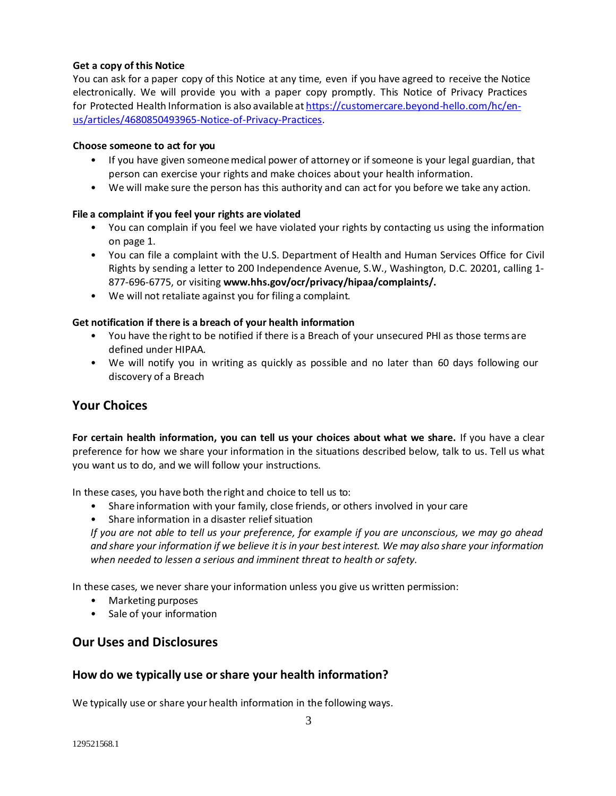### **Get a copy of this Notice**

You can ask for a paper copy of this Notice at any time, even if you have agreed to receive the Notice electronically. We will provide you with a paper copy promptly. This Notice of Privacy Practices for Protected Health Information is also available at [https://customercare.beyond-hello.com/hc/en](https://customercare.beyond-hello.com/hc/en-us/articles/4680850493965-Notice-of-Privacy-Practices)[us/articles/4680850493965-Notice-of-Privacy-Practices.](https://customercare.beyond-hello.com/hc/en-us/articles/4680850493965-Notice-of-Privacy-Practices)

### **Choose someone to act for you**

- If you have given someonemedical power of attorney or if someone is your legal guardian, that person can exercise your rights and make choices about your health information.
- We will make sure the person has this authority and can act for you before we take any action.

### **File a complaint if you feel your rights are violated**

- You can complain if you feel we have violated your rights by contacting us using the information on page 1.
- You can file a complaint with the U.S. Department of Health and Human Services Office for Civil Rights by sending a letter to 200 Independence Avenue, S.W., Washington, D.C. 20201, calling 1- 877-696-6775, or visiting **[www.hhs.gov/ocr/privacy/hipaa/complaints/.](http://www.hhs.gov/ocr/privacy/hipaa/complaints/)**
- We will not retaliate against you for filing a complaint.

### **Get notification if there is a breach of your health information**

- You have the right to be notified if there is a Breach of your unsecured PHI as those terms are defined under HIPAA.
- We will notify you in writing as quickly as possible and no later than 60 days following our discovery of a Breach

# **Your Choices**

**For certain health information, you can tell us your choices about what we share.** If you have a clear preference for how we share your information in the situations described below, talk to us. Tell us what you want us to do, and we will follow your instructions.

In these cases, you have both the right and choice to tell us to:

- Share information with your family, close friends, or others involved in your care
- Share information in a disaster relief situation

*If you are not able to tell us your preference, for example if you are unconscious, we may go ahead*  and share your information if we believe it is in your best interest. We may also share your information *when needed to lessen a serious and imminent threat to health or safety.*

In these cases, we never share your information unless you give us written permission:

- Marketing purposes
- Sale of your information

# **Our Uses and Disclosures**

### **How do we typically use orshare your health information?**

We typically use or share your health information in the following ways.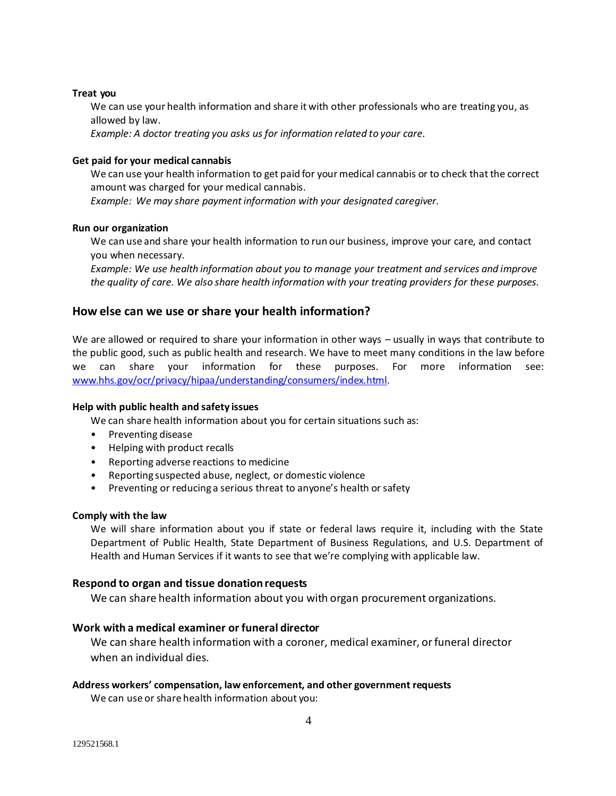### **Treat you**

We can use your health information and share it with other professionals who are treating you, as allowed by law.

*Example: A doctor treating you asks us for information related to your care.*

### **Get paid for your medical cannabis**

We can use your health information to get paid for your medical cannabis or to check that the correct amount was charged for your medical cannabis.

*Example: We may share payment information with your designated caregiver.*

#### **Run our organization**

We can use and share your health information to run our business, improve your care, and contact you when necessary.

*Example: We use health information about you to manage your treatment and services and improve the quality of care. We also share health information with your treating providers for these purposes.*

### **How else can we use or share your health information?**

We are allowed or required to share your information in other ways – usually in ways that contribute to the public good, such as public health and research. We have to meet many conditions in the law before we can share your information for these purposes. For more information see: [www.hhs.gov/ocr/privacy/hipaa/understanding/consumers/index.html.](http://www.hhs.gov/ocr/privacy/hipaa/understanding/consumers/index.html)

#### **Help with public health and safety issues**

We can share health information about you for certain situations such as:

- Preventing disease
- Helping with product recalls
- Reporting adverse reactions to medicine
- Reporting suspected abuse, neglect, or domestic violence
- Preventing or reducing a serious threat to anyone's health or safety

#### **Comply with the law**

We will share information about you if state or federal laws require it, including with the State Department of Public Health, State Department of Business Regulations, and U.S. Department of Health and Human Services if it wants to see that we're complying with applicable law.

#### **Respond to organ and tissue donation requests**

We can share health information about you with organ procurement organizations.

### **Work with a medical examiner or funeral director**

We can share health information with a coroner, medical examiner, or funeral director when an individual dies.

#### **Address workers' compensation, law enforcement, and other government requests**

We can use or share health information about you: